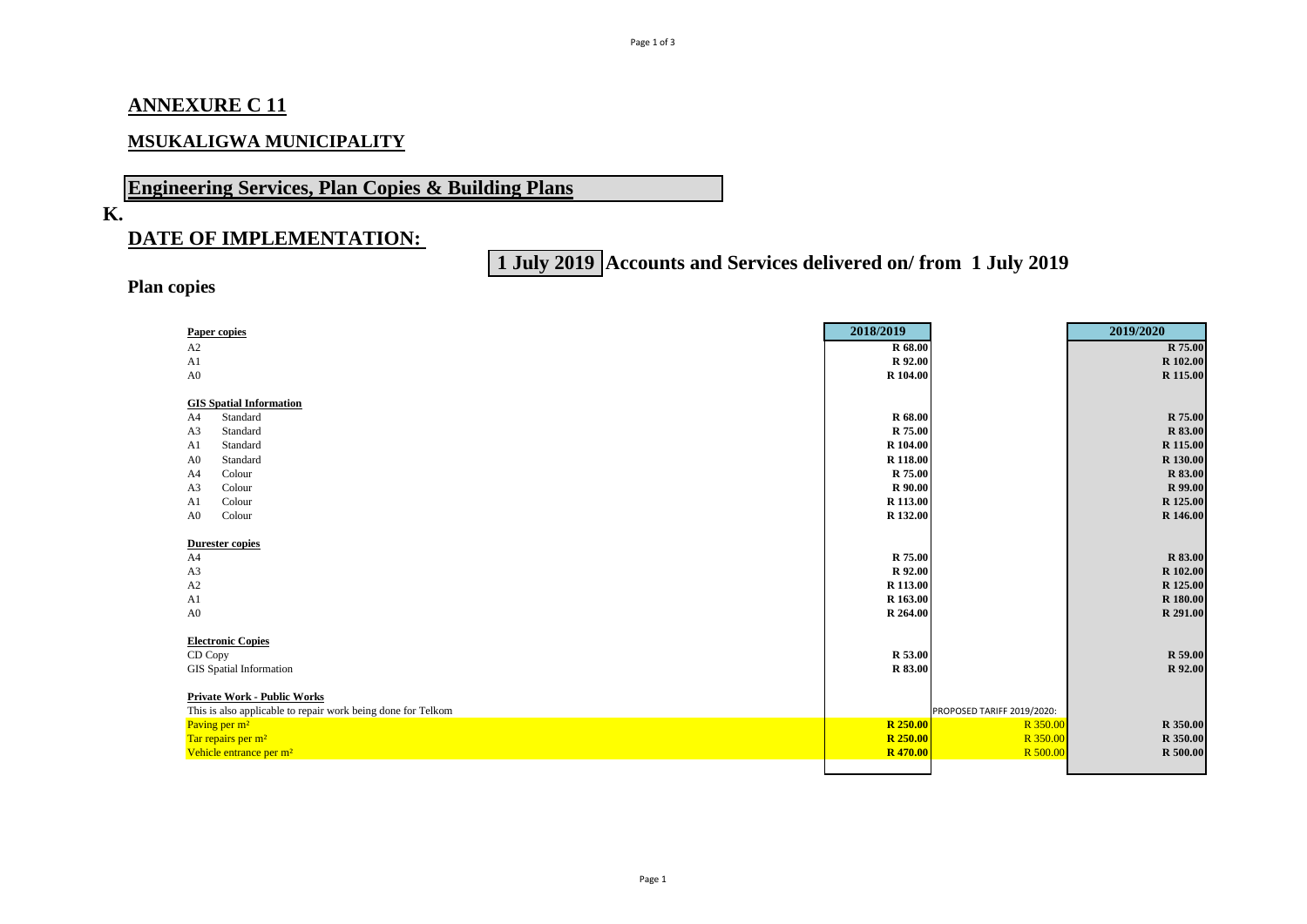### **ANNEXURE C 11**

### **MSUKALIGWA MUNICIPALITY**

# **Engineering Services, Plan Copies & Building Plans**

### **K.**

## **DATE OF IMPLEMENTATION:**

# **1 July 2019 Accounts and Services delivered on/ from 1 July 2019**

### **Plan copies**

| <b>Paper copies</b>                                          | 2018/2019       |                            | 2019/2020       |
|--------------------------------------------------------------|-----------------|----------------------------|-----------------|
| A2                                                           | R 68.00         |                            | R 75.00         |
| A <sub>1</sub>                                               | R 92.00         |                            | R 102.00        |
| A <sub>0</sub>                                               | R 104.00        |                            | R 115.00        |
|                                                              |                 |                            |                 |
| <b>GIS Spatial Information</b>                               |                 |                            |                 |
| Standard<br>A4                                               | <b>R</b> 68.00  |                            | R 75.00         |
| A3<br>Standard                                               | R 75.00         |                            | R 83.00         |
| Standard<br>A <sub>1</sub>                                   | R 104.00        |                            | R 115.00        |
| Standard<br>A <sub>0</sub>                                   | R 118.00        |                            | R 130.00        |
| Colour<br>A <sub>4</sub>                                     | R 75.00         |                            | R 83.00         |
| A <sub>3</sub><br>Colour                                     | R 90.00         |                            | R 99.00         |
| Colour<br>A <sub>1</sub>                                     | R 113.00        |                            | R 125.00        |
| Colour<br>A <sub>0</sub>                                     | R 132.00        |                            | R 146.00        |
|                                                              |                 |                            |                 |
| <b>Durester copies</b>                                       |                 |                            |                 |
| A4                                                           | R 75.00         |                            | R 83.00         |
| A <sub>3</sub>                                               | R 92.00         |                            | R 102.00        |
| A2                                                           | R 113.00        |                            | R 125.00        |
| A <sub>1</sub>                                               | R 163.00        |                            | R 180.00        |
| A <sub>0</sub>                                               | R 264.00        |                            | R 291.00        |
|                                                              |                 |                            |                 |
| <b>Electronic Copies</b>                                     |                 |                            |                 |
| CD Copy                                                      | R 53.00         |                            | R 59.00         |
| <b>GIS</b> Spatial Information                               | <b>R</b> 83.00  |                            | R 92.00         |
|                                                              |                 |                            |                 |
| <b>Private Work - Public Works</b>                           |                 |                            |                 |
| This is also applicable to repair work being done for Telkom |                 | PROPOSED TARIFF 2019/2020: |                 |
| Paving per m <sup>2</sup>                                    | <b>R</b> 250.00 | R 350.00                   | R 350.00        |
| Tar repairs per m <sup>2</sup>                               | R 250.00        | R 350.00                   | R 350.00        |
| Vehicle entrance per m <sup>2</sup>                          | <b>R</b> 470.00 | R 500.00                   | <b>R</b> 500.00 |
|                                                              |                 |                            |                 |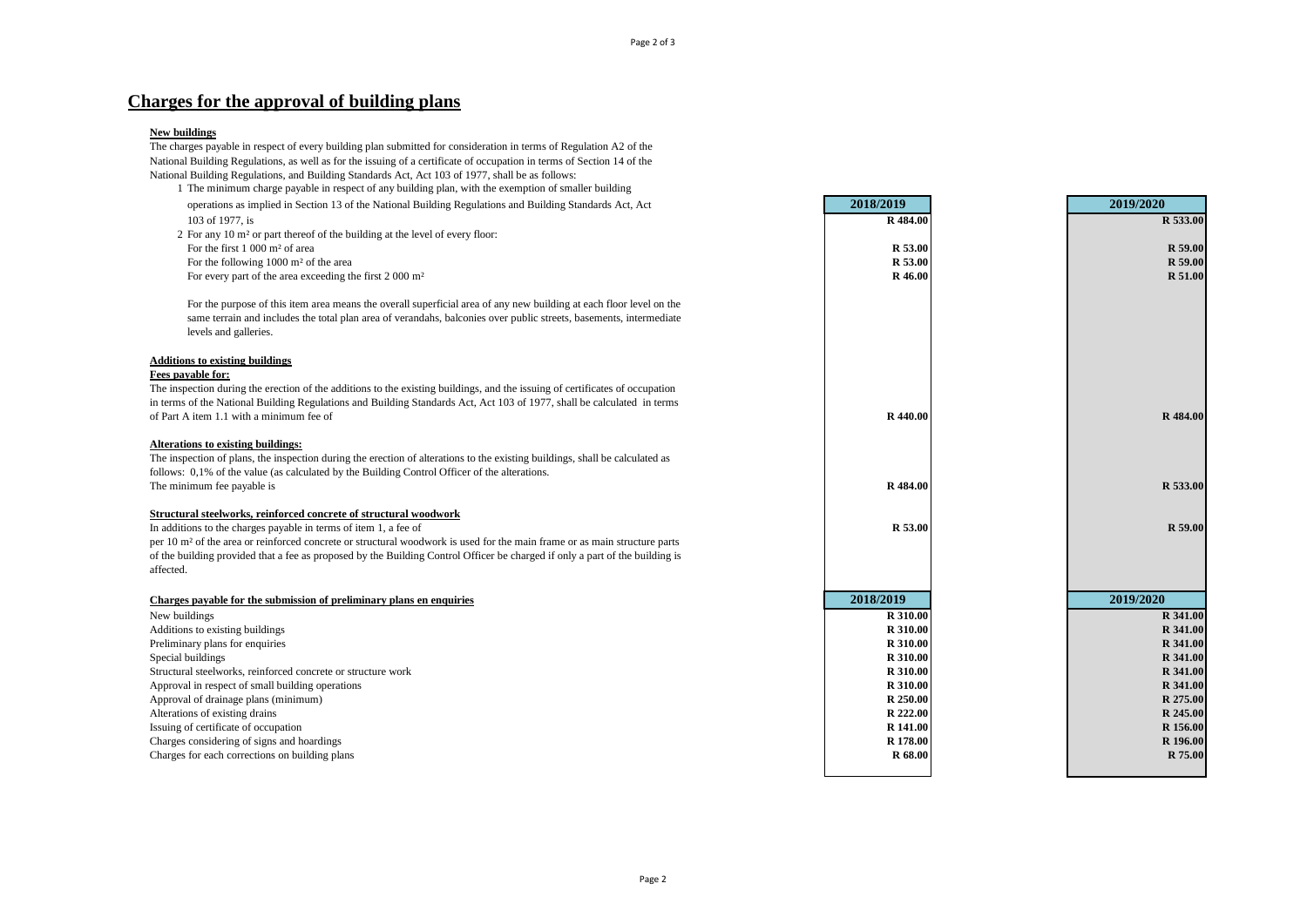### **Charges for the approval of building plans**

#### **New buildings**

The charges payable in respect of every building plan submitted for consideration in terms of Regulation A2 of the National Building Regulations, as well as for the issuing of a certificate of occupation in terms of Section 14 of the National Building Regulations, and Building Standards Act, Act 103 of 1977, shall be as follows: 1 The minimum charge payable in respect of any building plan, with the exemption of smaller building

| operations as implied in Section 13 of the National Building Regulations and Building Standards Act, Act                                    | 2018/2019            | 2019/2020            |
|---------------------------------------------------------------------------------------------------------------------------------------------|----------------------|----------------------|
| 103 of 1977, is                                                                                                                             | R 484.00             | R 533.00             |
| 2 For any 10 m <sup>2</sup> or part thereof of the building at the level of every floor:                                                    |                      |                      |
| For the first 1 000 m <sup>2</sup> of area                                                                                                  | R 53.00              | R 59.00              |
| For the following $1000 \text{ m}^2$ of the area                                                                                            | R 53.00              | R 59.00              |
| For every part of the area exceeding the first $2000 \text{ m}^2$                                                                           | R 46.00              | R 51.00              |
| For the purpose of this item area means the overall superficial area of any new building at each floor level on the                         |                      |                      |
| same terrain and includes the total plan area of verandahs, balconies over public streets, basements, intermediate<br>levels and galleries. |                      |                      |
| <b>Additions to existing buildings</b>                                                                                                      |                      |                      |
| Fees payable for:                                                                                                                           |                      |                      |
| The inspection during the erection of the additions to the existing buildings, and the issuing of certificates of occupation                |                      |                      |
| in terms of the National Building Regulations and Building Standards Act, Act 103 of 1977, shall be calculated in terms                     |                      |                      |
| of Part A item 1.1 with a minimum fee of                                                                                                    | R 440.00             | R 484.00             |
| Alterations to existing buildings:                                                                                                          |                      |                      |
| The inspection of plans, the inspection during the erection of alterations to the existing buildings, shall be calculated as                |                      |                      |
| follows: 0,1% of the value (as calculated by the Building Control Officer of the alterations.                                               |                      |                      |
| The minimum fee payable is                                                                                                                  | R 484.00             | R 533.00             |
| Structural steelworks, reinforced concrete of structural woodwork                                                                           |                      |                      |
| In additions to the charges payable in terms of item 1, a fee of                                                                            | R 53.00              | R 59.00              |
| per 10 m <sup>2</sup> of the area or reinforced concrete or structural woodwork is used for the main frame or as main structure parts       |                      |                      |
| of the building provided that a fee as proposed by the Building Control Officer be charged if only a part of the building is                |                      |                      |
| affected.                                                                                                                                   |                      |                      |
| Charges payable for the submission of preliminary plans en enquiries                                                                        | 2018/2019            | 2019/2020            |
| New buildings                                                                                                                               | R 310.00             | R 341.00             |
| Additions to existing buildings                                                                                                             | R 310.00             | R 341.00             |
| Preliminary plans for enquiries                                                                                                             | R 310.00             | R 341.00             |
| Special buildings                                                                                                                           | R 310.00             | R 341.00             |
| Structural steelworks, reinforced concrete or structure work                                                                                | R 310.00             | R 341.00             |
| Approval in respect of small building operations                                                                                            | R 310.00             | R 341.00             |
| Approval of drainage plans (minimum)                                                                                                        | R 250.00<br>R 222.00 | R 275.00<br>R 245.00 |
| Alterations of existing drains<br>Issuing of certificate of occupation                                                                      | R 141.00             | R 156.00             |
| Charges considering of signs and hoardings                                                                                                  | R 178.00             | R 196.00             |
| Charges for each corrections on building plans                                                                                              | R 68.00              | R 75.00              |
|                                                                                                                                             |                      |                      |